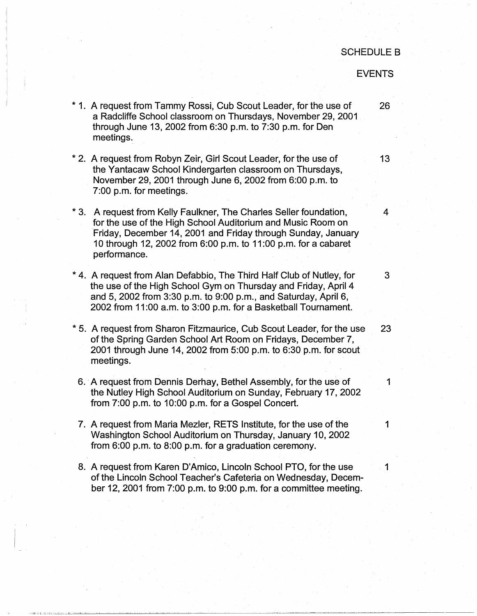## SCHEDULE B

## EVENTS

\* 1. A request from Tammy Rossi, Cub Scout Leader, for the use of 26 a Radcliffe School classroom on Thursdays, November 29, 2001 through June 13, 2002 from 6:30 p.m. to 7:30 p.m. for Den meetings. \* 2. A request from Robyn Zeir, Girl Scout Leader, for the use of 13 the Yantacaw School Kindergarten classroom on Thursdays, November 29, 2001 through June 6, 2002 from 6:00 p.m. to 7:00 p.m. for meetings. \* 3. A request from Kelly Faulkner, The Charles Seller foundation, 4 for the use of the High School Auditorium and Music Room on Friday, December 14, 2001 and Friday through Sunday, January 10 through 12, 2002 from 6:00 p.m. to 11 :00 p.m. for a cabaret performance. \* 4. A request from Alan Defabbio, The Third Half Club of Nutley, for 3 the use of the High School Gym on Thursday and Friday, April 4 and 5, 2002 from 3:30 p.m. to 9:00 p.m., and Saturday, April 6, 2002 from 11 :00 a.m. to 3:00 p.m. for a Basketball Tournament. \* 5. A request from Sharon Fitzmaurice, Cub Scout Leader, for the use 23 of the Spring Garden School Art Room on Fridays, December 7, 2001 through June 14, 2002 from 5:00 p.m. to 6:30 p.m. for scout meetings. 6. A request from Dennis Derhay, Bethel Assembly, for the use of 1 the Nutley High School Auditorium on Sunday, February 17, 2002 from 7:00 p.m. to 10:00 p.m. for a Gospel Concert. 7. A request from Maria Mezler, RETS Institute, for the use of the 11 Washington School Auditorium on Thursday, January 10, 2002 from 6:00 p.m. to 8:00 p.m. for a graduation ceremony. 8. A request from Karen D'Amico, Lincoln School PTO, for the use 1 of the Lincoln School Teacher's Cafeteria on Wednesday, December 12, 2001 from 7:00 p.m. to 9:00 p.m. for a committee meeting.